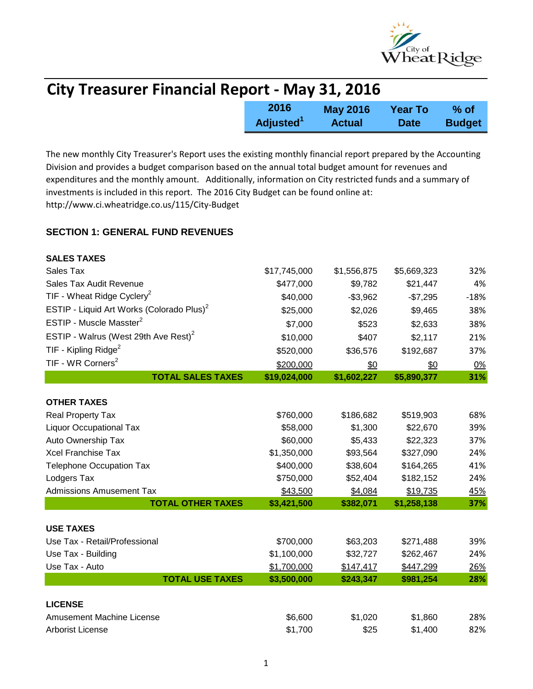

| <b>City Treasurer Financial Report - May 31, 2016</b> |                       |                 |                |               |  |
|-------------------------------------------------------|-----------------------|-----------------|----------------|---------------|--|
|                                                       | 2016                  | <b>May 2016</b> | <b>Year To</b> | % of          |  |
|                                                       | Adjusted <sup>1</sup> | <b>Actual</b>   | <b>Date</b>    | <b>Budget</b> |  |

The new monthly City Treasurer's Report uses the existing monthly financial report prepared by the Accounting Division and provides a budget comparison based on the annual total budget amount for revenues and expenditures and the monthly amount. Additionally, information on City restricted funds and a summary of investments is included in this report. The 2016 City Budget can be found online at: http://www.ci.wheatridge.co.us/115/City-Budget

#### **SECTION 1: GENERAL FUND REVENUES**

| <b>SALES TAXES</b>                                    |              |             |             |        |
|-------------------------------------------------------|--------------|-------------|-------------|--------|
| Sales Tax                                             | \$17,745,000 | \$1,556,875 | \$5,669,323 | 32%    |
| Sales Tax Audit Revenue                               | \$477,000    | \$9,782     | \$21,447    | 4%     |
| TIF - Wheat Ridge Cyclery <sup>2</sup>                | \$40,000     | $-$3,962$   | $-$7,295$   | $-18%$ |
| ESTIP - Liquid Art Works (Colorado Plus) <sup>2</sup> | \$25,000     | \$2,026     | \$9,465     | 38%    |
| ESTIP - Muscle Masster <sup>2</sup>                   | \$7,000      | \$523       | \$2,633     | 38%    |
| ESTIP - Walrus (West 29th Ave Rest) <sup>2</sup>      | \$10,000     | \$407       | \$2,117     | 21%    |
| TIF - Kipling Ridge <sup>2</sup>                      | \$520,000    | \$36,576    | \$192,687   | 37%    |
| TIF - WR Corners <sup>2</sup>                         | \$200,000    | \$0         | \$0         | 0%     |
| <b>TOTAL SALES TAXES</b>                              | \$19,024,000 | \$1,602,227 | \$5,890,377 | 31%    |
|                                                       |              |             |             |        |
| <b>OTHER TAXES</b>                                    |              |             |             |        |
| Real Property Tax                                     | \$760,000    | \$186,682   | \$519,903   | 68%    |
| <b>Liquor Occupational Tax</b>                        | \$58,000     | \$1,300     | \$22,670    | 39%    |
| Auto Ownership Tax                                    | \$60,000     | \$5,433     | \$22,323    | 37%    |
| <b>Xcel Franchise Tax</b>                             | \$1,350,000  | \$93,564    | \$327,090   | 24%    |
| <b>Telephone Occupation Tax</b>                       | \$400,000    | \$38,604    | \$164,265   | 41%    |
| Lodgers Tax                                           | \$750,000    | \$52,404    | \$182,152   | 24%    |
| <b>Admissions Amusement Tax</b>                       | \$43,500     | \$4,084     | \$19,735    | 45%    |
| <b>TOTAL OTHER TAXES</b>                              | \$3,421,500  | \$382,071   | \$1,258,138 | 37%    |
|                                                       |              |             |             |        |
| <b>USE TAXES</b>                                      |              |             |             |        |
| Use Tax - Retail/Professional                         | \$700,000    | \$63,203    | \$271,488   | 39%    |
| Use Tax - Building                                    | \$1,100,000  | \$32,727    | \$262,467   | 24%    |
| Use Tax - Auto                                        | \$1,700,000  | \$147,417   | \$447,299   | 26%    |
| <b>TOTAL USE TAXES</b>                                | \$3,500,000  | \$243,347   | \$981,254   | 28%    |
| <b>LICENSE</b>                                        |              |             |             |        |
| <b>Amusement Machine License</b>                      | \$6,600      | \$1,020     | \$1,860     | 28%    |
| <b>Arborist License</b>                               | \$1,700      | \$25        | \$1,400     | 82%    |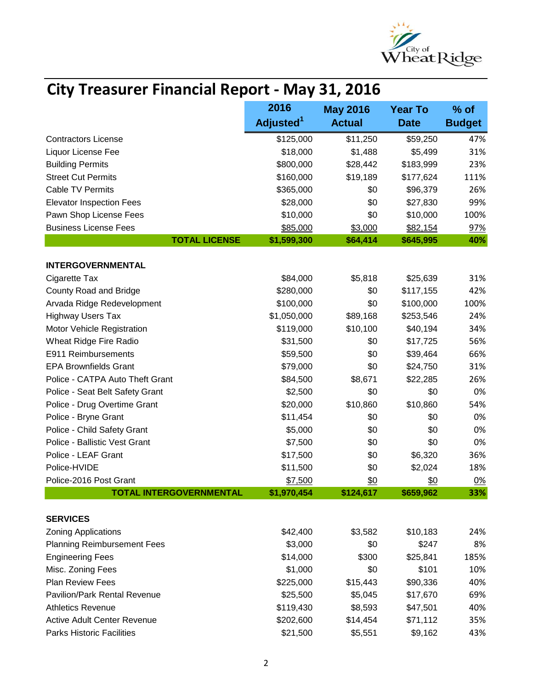

# **City Treasurer Financial Report - May 31, 2016**

|                                    | 2016                  | <b>May 2016</b> | <b>Year To</b> | % of          |
|------------------------------------|-----------------------|-----------------|----------------|---------------|
|                                    | Adjusted <sup>1</sup> | <b>Actual</b>   | <b>Date</b>    | <b>Budget</b> |
| <b>Contractors License</b>         | \$125,000             | \$11,250        | \$59,250       | 47%           |
| Liquor License Fee                 | \$18,000              | \$1,488         | \$5,499        | 31%           |
| <b>Building Permits</b>            | \$800,000             | \$28,442        | \$183,999      | 23%           |
| <b>Street Cut Permits</b>          | \$160,000             | \$19,189        | \$177,624      | 111%          |
| <b>Cable TV Permits</b>            | \$365,000             | \$0             | \$96,379       | 26%           |
| <b>Elevator Inspection Fees</b>    | \$28,000              | \$0             | \$27,830       | 99%           |
| Pawn Shop License Fees             | \$10,000              | \$0             | \$10,000       | 100%          |
| <b>Business License Fees</b>       | \$85,000              | \$3,000         | \$82,154       | 97%           |
| <b>TOTAL LICENSE</b>               | \$1,599,300           | \$64,414        | \$645,995      | 40%           |
| <b>INTERGOVERNMENTAL</b>           |                       |                 |                |               |
| Cigarette Tax                      | \$84,000              | \$5,818         | \$25,639       | 31%           |
| County Road and Bridge             | \$280,000             | \$0             | \$117,155      | 42%           |
| Arvada Ridge Redevelopment         | \$100,000             | \$0             | \$100,000      | 100%          |
| <b>Highway Users Tax</b>           | \$1,050,000           | \$89,168        | \$253,546      | 24%           |
| Motor Vehicle Registration         | \$119,000             | \$10,100        | \$40,194       | 34%           |
| Wheat Ridge Fire Radio             | \$31,500              | \$0             | \$17,725       | 56%           |
| E911 Reimbursements                | \$59,500              | \$0             | \$39,464       | 66%           |
| <b>EPA Brownfields Grant</b>       | \$79,000              | \$0             | \$24,750       | 31%           |
| Police - CATPA Auto Theft Grant    | \$84,500              | \$8,671         | \$22,285       | 26%           |
| Police - Seat Belt Safety Grant    | \$2,500               | \$0             | \$0            | 0%            |
| Police - Drug Overtime Grant       | \$20,000              | \$10,860        | \$10,860       | 54%           |
| Police - Bryne Grant               | \$11,454              | \$0             | \$0            | 0%            |
| Police - Child Safety Grant        | \$5,000               | \$0             | \$0            | 0%            |
| Police - Ballistic Vest Grant      | \$7,500               | \$0             | \$0            | 0%            |
| Police - LEAF Grant                | \$17,500              | \$0             | \$6,320        | 36%           |
| Police-HVIDE                       | \$11,500              | \$0             | \$2,024        | 18%           |
| Police-2016 Post Grant             | \$7,500               | \$0             | \$0            | 0%            |
| <b>TOTAL INTERGOVERNMENTAL</b>     | \$1,970,454           | \$124,617       | \$659,962      | 33%           |
| <b>SERVICES</b>                    |                       |                 |                |               |
| <b>Zoning Applications</b>         | \$42,400              | \$3,582         | \$10,183       | 24%           |
| <b>Planning Reimbursement Fees</b> | \$3,000               | \$0             | \$247          | 8%            |
| <b>Engineering Fees</b>            | \$14,000              | \$300           | \$25,841       | 185%          |
| Misc. Zoning Fees                  | \$1,000               | \$0             | \$101          | 10%           |
| Plan Review Fees                   | \$225,000             | \$15,443        | \$90,336       | 40%           |
| Pavilion/Park Rental Revenue       | \$25,500              | \$5,045         | \$17,670       | 69%           |
| <b>Athletics Revenue</b>           | \$119,430             | \$8,593         | \$47,501       | 40%           |
| <b>Active Adult Center Revenue</b> | \$202,600             | \$14,454        | \$71,112       | 35%           |
| <b>Parks Historic Facilities</b>   | \$21,500              | \$5,551         | \$9,162        | 43%           |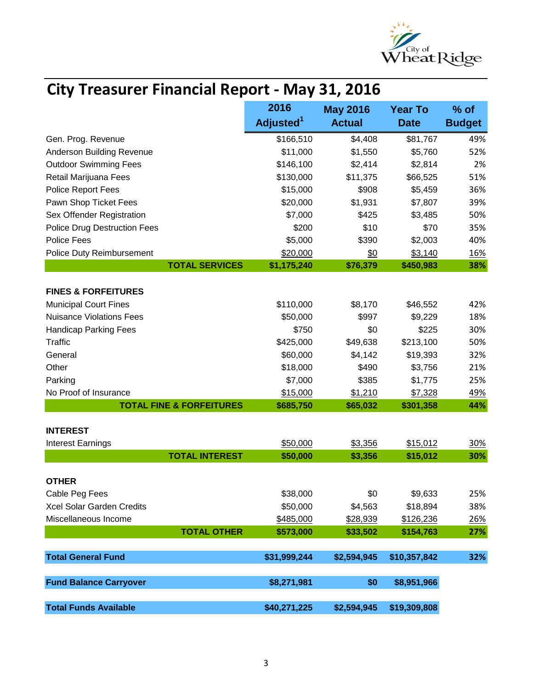

## **City Treasurer Financial Report - May 31, 2016**

|                                     | 2016                  | <b>May 2016</b> | <b>Year To</b> | $%$ of        |
|-------------------------------------|-----------------------|-----------------|----------------|---------------|
|                                     | Adjusted <sup>1</sup> | <b>Actual</b>   | <b>Date</b>    | <b>Budget</b> |
| Gen. Prog. Revenue                  | \$166,510             | \$4,408         | \$81,767       | 49%           |
| Anderson Building Revenue           | \$11,000              | \$1,550         | \$5,760        | 52%           |
| <b>Outdoor Swimming Fees</b>        | \$146,100             | \$2,414         | \$2,814        | 2%            |
| Retail Marijuana Fees               | \$130,000             | \$11,375        | \$66,525       | 51%           |
| Police Report Fees                  | \$15,000              | \$908           | \$5,459        | 36%           |
| Pawn Shop Ticket Fees               | \$20,000              | \$1,931         | \$7,807        | 39%           |
| Sex Offender Registration           | \$7,000               | \$425           | \$3,485        | 50%           |
| <b>Police Drug Destruction Fees</b> | \$200                 | \$10            | \$70           | 35%           |
| Police Fees                         | \$5,000               | \$390           | \$2,003        | 40%           |
| Police Duty Reimbursement           | \$20,000              | \$0             | \$3,140        | <u>16%</u>    |
| <b>TOTAL SERVICES</b>               | \$1,175,240           | \$76,379        | \$450,983      | 38%           |
|                                     |                       |                 |                |               |
| <b>FINES &amp; FORFEITURES</b>      |                       |                 |                |               |
| <b>Municipal Court Fines</b>        | \$110,000             | \$8,170         | \$46,552       | 42%           |
| <b>Nuisance Violations Fees</b>     | \$50,000              | \$997           | \$9,229        | 18%           |
| <b>Handicap Parking Fees</b>        | \$750                 | \$0             | \$225          | 30%           |
| <b>Traffic</b>                      | \$425,000             | \$49,638        | \$213,100      | 50%           |
| General                             | \$60,000              | \$4,142         | \$19,393       | 32%           |
| Other                               | \$18,000              | \$490           | \$3,756        | 21%           |
| Parking                             | \$7,000               | \$385           | \$1,775        | 25%           |
| No Proof of Insurance               | \$15,000              | \$1,210         | \$7,328        | 49%           |
| <b>TOTAL FINE &amp; FORFEITURES</b> | \$685,750             | \$65,032        | \$301,358      | 44%           |
|                                     |                       |                 |                |               |
| <b>INTEREST</b>                     |                       |                 |                |               |
| <b>Interest Earnings</b>            | \$50,000              | \$3,356         | \$15,012       | 30%           |
| <b>TOTAL INTEREST</b>               | \$50,000              | \$3,356         | \$15,012       | 30%           |
|                                     |                       |                 |                |               |
| <b>OTHER</b>                        |                       |                 |                |               |
| Cable Peg Fees                      | \$38,000              | \$0             | \$9,633        | 25%           |
| Xcel Solar Garden Credits           | \$50,000              | \$4,563         | \$18,894       | 38%           |
| Miscellaneous Income                | \$485,000             | \$28,939        | \$126,236      | 26%           |
| <b>TOTAL OTHER</b>                  | \$573,000             | \$33,502        | \$154,763      | 27%           |
|                                     |                       |                 |                |               |
| <b>Total General Fund</b>           | \$31,999,244          | \$2,594,945     | \$10,357,842   | 32%           |
|                                     |                       |                 |                |               |
| <b>Fund Balance Carryover</b>       | \$8,271,981           | \$0             | \$8,951,966    |               |
|                                     |                       |                 |                |               |
| <b>Total Funds Available</b>        | \$40,271,225          | \$2,594,945     | \$19,309,808   |               |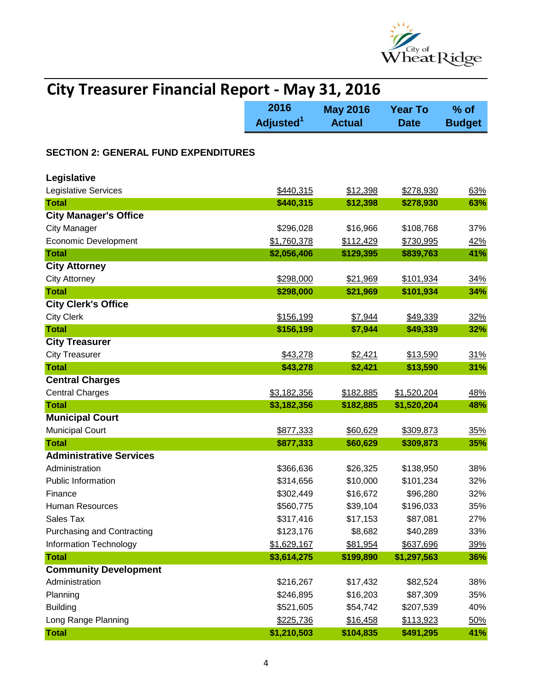

| <b>City Treasurer Financial Report - May 31, 2016</b> |                               |                                  |                               |                         |
|-------------------------------------------------------|-------------------------------|----------------------------------|-------------------------------|-------------------------|
|                                                       | 2016<br>Adjusted <sup>1</sup> | <b>May 2016</b><br><b>Actual</b> | <b>Year To</b><br><b>Date</b> | $%$ of<br><b>Budget</b> |
| <b>SECTION 2: GENERAL FUND EXPENDITURES</b>           |                               |                                  |                               |                         |
| Legislative                                           |                               |                                  |                               |                         |
| Legislative Services                                  | \$440,315                     | \$12,398                         | \$278,930                     | 63%                     |
| <b>Total</b>                                          | \$440,315                     | \$12,398                         | \$278,930                     | 63%                     |
| <b>City Manager's Office</b>                          |                               |                                  |                               |                         |
| <b>City Manager</b>                                   | \$296,028                     | \$16,966                         | \$108,768                     | 37%                     |
| <b>Economic Development</b>                           | \$1,760,378                   | \$112,429                        | \$730,995                     | <u>42%</u>              |
| <b>Total</b>                                          | \$2,056,406                   | \$129,395                        | \$839,763                     | 41%                     |
| <b>City Attorney</b>                                  |                               |                                  |                               |                         |
| <b>City Attorney</b>                                  | \$298,000                     | \$21,969                         | \$101,934                     | 34%                     |
| <b>Total</b>                                          | \$298,000                     | \$21,969                         | \$101,934                     | 34%                     |
| <b>City Clerk's Office</b>                            |                               |                                  |                               |                         |
| <b>City Clerk</b>                                     | \$156,199                     | \$7,944                          | \$49,339                      | 32%                     |
| <b>Total</b>                                          | \$156,199                     | \$7,944                          | \$49,339                      | 32%                     |
| <b>City Treasurer</b>                                 |                               |                                  |                               |                         |
| <b>City Treasurer</b>                                 | \$43,278                      | \$2,421                          | \$13,590                      | 31%                     |
| <b>Total</b>                                          | \$43,278                      | \$2,421                          | \$13,590                      | 31%                     |
| <b>Central Charges</b>                                |                               |                                  |                               |                         |
| <b>Central Charges</b>                                | \$3,182,356                   | \$182,885                        | \$1,520,204                   | 48%                     |
| <b>Total</b>                                          | \$3,182,356                   | \$182,885                        | \$1,520,204                   | 48%                     |
| <b>Municipal Court</b>                                |                               |                                  |                               |                         |
| <b>Municipal Court</b>                                | \$877,333                     | \$60,629                         | \$309,873                     | 35%                     |
| <b>Total</b>                                          | \$877,333                     | \$60,629                         | \$309,873                     | 35%                     |
| <b>Administrative Services</b>                        |                               |                                  |                               |                         |
| Administration                                        | \$366,636                     | \$26,325                         | \$138,950                     | 38%                     |
| <b>Public Information</b>                             | \$314,656                     | \$10,000                         | \$101,234                     | 32%                     |
| Finance                                               | \$302,449                     | \$16,672                         | \$96,280                      | 32%                     |
| <b>Human Resources</b>                                | \$560,775                     | \$39,104                         | \$196,033                     | 35%                     |
| Sales Tax                                             | \$317,416                     | \$17,153                         | \$87,081                      | 27%                     |
| <b>Purchasing and Contracting</b>                     | \$123,176                     | \$8,682                          | \$40,289                      | 33%                     |
| <b>Information Technology</b>                         | \$1,629,167                   | \$81,954                         | \$637,696                     | 39%                     |
| <b>Total</b>                                          | \$3,614,275                   | \$199,890                        | \$1,297,563                   | 36%                     |
| <b>Community Development</b>                          |                               |                                  |                               |                         |
| Administration                                        | \$216,267                     | \$17,432                         | \$82,524                      | 38%                     |
| Planning                                              | \$246,895                     | \$16,203                         | \$87,309                      | 35%                     |
| <b>Building</b>                                       | \$521,605                     | \$54,742                         | \$207,539                     | 40%                     |
| Long Range Planning                                   | \$225,736                     | \$16,458                         | \$113,923                     | 50%                     |
| <b>Total</b>                                          | \$1,210,503                   | \$104,835                        | \$491,295                     | 41%                     |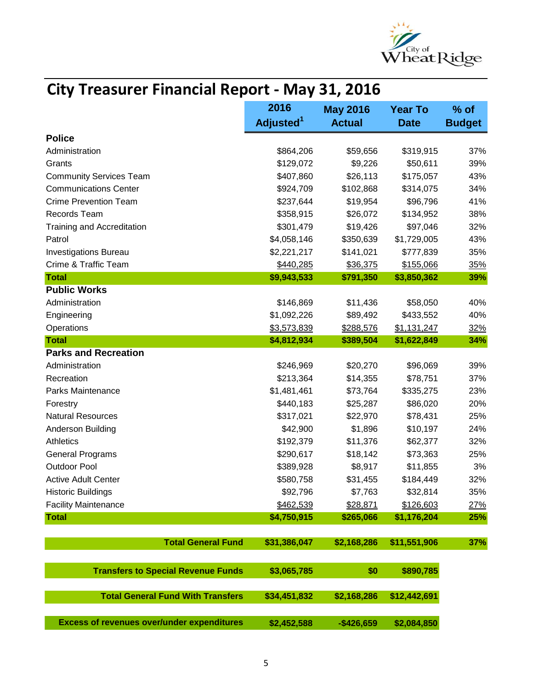

## **City Treasurer Financial Report - May 31, 2016**

|                                                   | 2016<br>Adjusted <sup>1</sup> | <b>May 2016</b><br><b>Actual</b> | <b>Year To</b><br><b>Date</b> | $%$ of<br><b>Budget</b> |
|---------------------------------------------------|-------------------------------|----------------------------------|-------------------------------|-------------------------|
| <b>Police</b>                                     |                               |                                  |                               |                         |
| Administration                                    | \$864,206                     | \$59,656                         | \$319,915                     | 37%                     |
| Grants                                            | \$129,072                     | \$9,226                          | \$50,611                      | 39%                     |
| <b>Community Services Team</b>                    | \$407,860                     | \$26,113                         | \$175,057                     | 43%                     |
| <b>Communications Center</b>                      | \$924,709                     | \$102,868                        | \$314,075                     | 34%                     |
| <b>Crime Prevention Team</b>                      | \$237,644                     | \$19,954                         | \$96,796                      | 41%                     |
| Records Team                                      | \$358,915                     | \$26,072                         | \$134,952                     | 38%                     |
| <b>Training and Accreditation</b>                 | \$301,479                     | \$19,426                         | \$97,046                      | 32%                     |
| Patrol                                            | \$4,058,146                   | \$350,639                        | \$1,729,005                   | 43%                     |
| <b>Investigations Bureau</b>                      | \$2,221,217                   | \$141,021                        | \$777,839                     | 35%                     |
| Crime & Traffic Team                              | \$440,285                     | \$36,375                         | \$155,066                     | 35%                     |
| <b>Total</b>                                      | \$9,943,533                   | \$791,350                        | \$3,850,362                   | 39%                     |
| <b>Public Works</b>                               |                               |                                  |                               |                         |
| Administration                                    | \$146,869                     | \$11,436                         | \$58,050                      | 40%                     |
| Engineering                                       | \$1,092,226                   | \$89,492                         | \$433,552                     | 40%                     |
| Operations                                        | \$3,573,839                   | \$288,576                        | \$1,131,247                   | 32%                     |
| <b>Total</b>                                      | \$4,812,934                   | \$389,504                        | \$1,622,849                   | 34%                     |
| <b>Parks and Recreation</b>                       |                               |                                  |                               |                         |
| Administration                                    | \$246,969                     | \$20,270                         | \$96,069                      | 39%                     |
| Recreation                                        | \$213,364                     | \$14,355                         | \$78,751                      | 37%                     |
| Parks Maintenance                                 | \$1,481,461                   | \$73,764                         | \$335,275                     | 23%                     |
| Forestry                                          | \$440,183                     | \$25,287                         | \$86,020                      | 20%                     |
| <b>Natural Resources</b>                          | \$317,021                     | \$22,970                         | \$78,431                      | 25%                     |
| Anderson Building                                 | \$42,900                      | \$1,896                          | \$10,197                      | 24%                     |
| <b>Athletics</b>                                  | \$192,379                     | \$11,376                         | \$62,377                      | 32%                     |
| <b>General Programs</b>                           | \$290,617                     | \$18,142                         | \$73,363                      | 25%                     |
| <b>Outdoor Pool</b>                               | \$389,928                     | \$8,917                          | \$11,855                      | 3%                      |
| <b>Active Adult Center</b>                        | \$580,758                     | \$31,455                         | \$184,449                     | 32%                     |
| <b>Historic Buildings</b>                         | \$92,796                      | \$7,763                          | \$32,814                      | 35%                     |
| <b>Facility Maintenance</b>                       | \$462,539                     | \$28,871                         | \$126,603                     | 27%                     |
| <b>Total</b>                                      | \$4,750,915                   | \$265,066                        | \$1,176,204                   | 25%                     |
|                                                   |                               |                                  |                               |                         |
| <b>Total General Fund</b>                         | \$31,386,047                  | \$2,168,286                      | \$11,551,906                  | 37%                     |
| <b>Transfers to Special Revenue Funds</b>         | \$3,065,785                   | \$0                              | \$890,785                     |                         |
| <b>Total General Fund With Transfers</b>          | \$34,451,832                  | \$2,168,286                      | \$12,442,691                  |                         |
| <b>Excess of revenues over/under expenditures</b> | \$2,452,588                   | $-$426,659$                      | \$2,084,850                   |                         |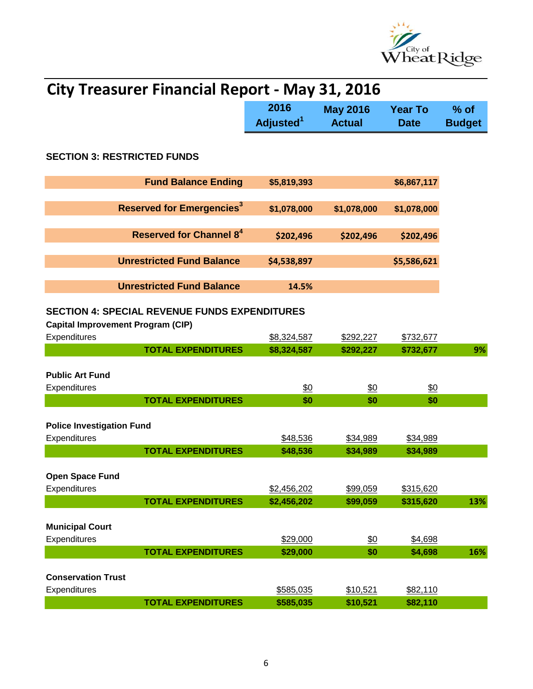

| <b>City Treasurer Financial Report - May 31, 2016</b>                                            |                               |                                  |                               |                         |  |
|--------------------------------------------------------------------------------------------------|-------------------------------|----------------------------------|-------------------------------|-------------------------|--|
|                                                                                                  | 2016<br>Adjusted <sup>1</sup> | <b>May 2016</b><br><b>Actual</b> | <b>Year To</b><br><b>Date</b> | $%$ of<br><b>Budget</b> |  |
| <b>SECTION 3: RESTRICTED FUNDS</b>                                                               |                               |                                  |                               |                         |  |
| <b>Fund Balance Ending</b>                                                                       | \$5,819,393                   |                                  | \$6,867,117                   |                         |  |
| <b>Reserved for Emergencies<sup>3</sup></b>                                                      | \$1,078,000                   | \$1,078,000                      | \$1,078,000                   |                         |  |
| Reserved for Channel 8 <sup>4</sup>                                                              | \$202,496                     | \$202,496                        | \$202,496                     |                         |  |
| <b>Unrestricted Fund Balance</b>                                                                 | \$4,538,897                   |                                  | \$5,586,621                   |                         |  |
| <b>Unrestricted Fund Balance</b>                                                                 | 14.5%                         |                                  |                               |                         |  |
| <b>SECTION 4: SPECIAL REVENUE FUNDS EXPENDITURES</b><br><b>Capital Improvement Program (CIP)</b> |                               |                                  |                               |                         |  |
| Expenditures                                                                                     | \$8,324,587                   | \$292,227                        | \$732,677                     |                         |  |
| <b>TOTAL EXPENDITURES</b><br><b>Public Art Fund</b><br>Expenditures                              | \$8,324,587<br>\$0            | \$292,227<br>\$0                 | \$732,677<br>\$0              | 9%                      |  |
| <b>TOTAL EXPENDITURES</b>                                                                        | \$0                           | \$0                              | \$0                           |                         |  |
| <b>Police Investigation Fund</b><br>Expenditures                                                 | \$48,536                      | \$34,989                         | \$34,989                      |                         |  |
| <b>TOTAL EXPENDITURES</b>                                                                        | \$48,536                      | \$34,989                         | \$34,989                      |                         |  |
| <b>Open Space Fund</b><br>Expenditures                                                           | \$2,456,202                   | \$99,059                         | \$315,620                     |                         |  |
| <b>TOTAL EXPENDITURES</b>                                                                        | \$2,456,202                   | \$99,059                         | \$315,620                     | 13%                     |  |
| <b>Municipal Court</b><br>Expenditures                                                           | \$29,000                      | \$0                              | \$4,698                       |                         |  |
| <b>TOTAL EXPENDITURES</b>                                                                        | \$29,000                      | \$0                              | \$4,698                       | 16%                     |  |
| <b>Conservation Trust</b><br>Expenditures<br><b>TOTAL EXPENDITURES</b>                           | \$585,035<br>\$585,035        | \$10,521<br>\$10,521             | \$82,110<br>\$82,110          |                         |  |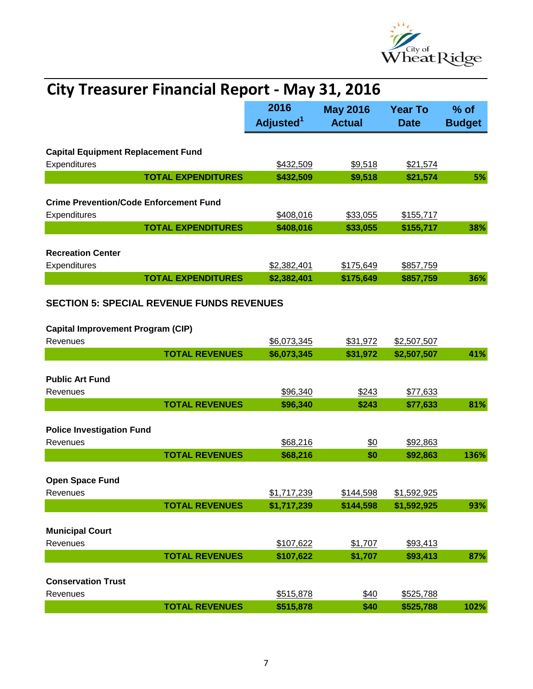

| <b>City Treasurer Financial Report - May 31, 2016</b>     |                           |                               |                                  |                               |                         |
|-----------------------------------------------------------|---------------------------|-------------------------------|----------------------------------|-------------------------------|-------------------------|
|                                                           |                           | 2016<br>Adjusted <sup>1</sup> | <b>May 2016</b><br><b>Actual</b> | <b>Year To</b><br><b>Date</b> | $%$ of<br><b>Budget</b> |
|                                                           |                           |                               |                                  |                               |                         |
| <b>Capital Equipment Replacement Fund</b><br>Expenditures |                           | \$432,509                     | \$9,518                          | \$21,574                      |                         |
|                                                           | <b>TOTAL EXPENDITURES</b> | \$432,509                     | \$9,518                          | \$21,574                      | 5%                      |
|                                                           |                           |                               |                                  |                               |                         |
| <b>Crime Prevention/Code Enforcement Fund</b>             |                           |                               |                                  |                               |                         |
| Expenditures                                              |                           | \$408,016                     | \$33,055                         | \$155,717                     |                         |
|                                                           | <b>TOTAL EXPENDITURES</b> | \$408,016                     | \$33,055                         | \$155,717                     | 38%                     |
|                                                           |                           |                               |                                  |                               |                         |
| <b>Recreation Center</b>                                  |                           | \$2,382,401                   |                                  |                               |                         |
| Expenditures                                              | <b>TOTAL EXPENDITURES</b> | \$2,382,401                   | \$175,649<br>\$175,649           | \$857,759<br>\$857,759        | 36%                     |
|                                                           |                           |                               |                                  |                               |                         |
| <b>SECTION 5: SPECIAL REVENUE FUNDS REVENUES</b>          |                           |                               |                                  |                               |                         |
|                                                           |                           |                               |                                  |                               |                         |
| <b>Capital Improvement Program (CIP)</b><br>Revenues      |                           |                               |                                  |                               |                         |
|                                                           | <b>TOTAL REVENUES</b>     | \$6,073,345<br>\$6,073,345    | \$31,972<br>\$31,972             | \$2,507,507<br>\$2,507,507    | 41%                     |
|                                                           |                           |                               |                                  |                               |                         |
| <b>Public Art Fund</b>                                    |                           |                               |                                  |                               |                         |
| Revenues                                                  |                           | \$96,340                      | \$243                            | \$77,633                      |                         |
|                                                           | <b>TOTAL REVENUES</b>     | \$96,340                      | \$243                            | \$77,633                      | 81%                     |
|                                                           |                           |                               |                                  |                               |                         |
| <b>Police Investigation Fund</b>                          |                           |                               |                                  |                               |                         |
| Revenues                                                  |                           | \$68,216                      | \$0                              | \$92,863                      |                         |
|                                                           | <b>TOTAL REVENUES</b>     | \$68,216                      | \$0                              | \$92,863                      | 136%                    |
|                                                           |                           |                               |                                  |                               |                         |
| <b>Open Space Fund</b>                                    |                           |                               |                                  |                               |                         |
| Revenues                                                  | <b>TOTAL REVENUES</b>     | \$1,717,239                   | \$144,598                        | \$1,592,925                   |                         |
|                                                           |                           | \$1,717,239                   | \$144,598                        | \$1,592,925                   | 93%                     |
| <b>Municipal Court</b>                                    |                           |                               |                                  |                               |                         |
| Revenues                                                  |                           | \$107,622                     | \$1,707                          | \$93,413                      |                         |
|                                                           | <b>TOTAL REVENUES</b>     | \$107,622                     | \$1,707                          | \$93,413                      | 87%                     |
|                                                           |                           |                               |                                  |                               |                         |
| <b>Conservation Trust</b>                                 |                           |                               |                                  |                               |                         |
| Revenues                                                  |                           | \$515,878                     | \$40                             | \$525,788                     |                         |
|                                                           | <b>TOTAL REVENUES</b>     | \$515,878                     | \$40                             | \$525,788                     | 102%                    |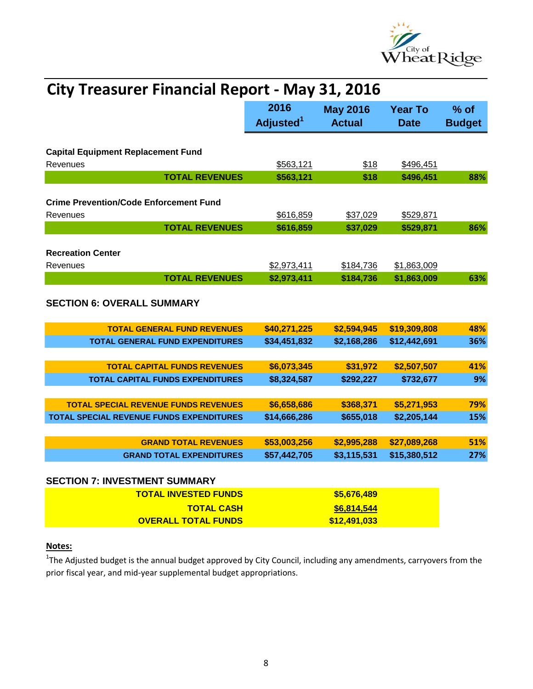

| <b>City Treasurer Financial Report - May 31, 2016</b>                          |                               |                                  |                               |                       |
|--------------------------------------------------------------------------------|-------------------------------|----------------------------------|-------------------------------|-----------------------|
|                                                                                | 2016<br>Adjusted <sup>1</sup> | <b>May 2016</b><br><b>Actual</b> | <b>Year To</b><br><b>Date</b> | % of<br><b>Budget</b> |
| <b>Capital Equipment Replacement Fund</b><br>Revenues                          | \$563,121                     | \$18                             | \$496,451                     |                       |
| <b>TOTAL REVENUES</b>                                                          | \$563,121                     | \$18                             | \$496,451                     | 88%                   |
| <b>Crime Prevention/Code Enforcement Fund</b><br>Revenues                      | \$616,859                     | \$37,029                         | \$529,871                     |                       |
| <b>TOTAL REVENUES</b>                                                          | \$616,859                     | \$37,029                         | \$529,871                     | 86%                   |
| <b>Recreation Center</b><br>Revenues<br><b>TOTAL REVENUES</b>                  | \$2,973,411<br>\$2,973,411    | \$184,736<br>\$184,736           | \$1,863,009<br>\$1,863,009    | 63%                   |
| <b>SECTION 6: OVERALL SUMMARY</b>                                              |                               |                                  |                               |                       |
| <b>TOTAL GENERAL FUND REVENUES</b>                                             | \$40,271,225                  | \$2,594,945                      | \$19,309,808                  | 48%                   |
| <b>TOTAL GENERAL FUND EXPENDITURES</b>                                         | \$34,451,832                  | \$2,168,286                      | \$12,442,691                  | 36%                   |
| <b>TOTAL CAPITAL FUNDS REVENUES</b><br><b>TOTAL CAPITAL FUNDS EXPENDITURES</b> | \$6,073,345<br>\$8,324,587    | \$31,972<br>\$292,227            | \$2,507,507<br>\$732,677      | 41%<br>9%             |
| <b>TOTAL SPECIAL REVENUE FUNDS REVENUES</b>                                    | \$6,658,686                   | \$368,371                        | \$5,271,953                   | 79%                   |
| TOTAL SPECIAL REVENUE FUNDS EXPENDITURES                                       | \$14,666,286                  | \$655,018                        | \$2,205,144                   | 15%                   |
|                                                                                |                               |                                  |                               |                       |
| <b>GRAND TOTAL REVENUES</b>                                                    | \$53,003,256                  | \$2,995,288                      | \$27,089,268                  | 51%                   |
| <b>GRAND TOTAL EXPENDITURES</b>                                                | \$57,442,705                  | \$3,115,531                      | \$15,380,512                  | 27%                   |
| <b>SECTION 7: INVESTMENT SUMMARY</b>                                           |                               |                                  |                               |                       |
| <b>TOTAL INVESTED FUNDS</b>                                                    |                               | \$5,676,489                      |                               |                       |
| <b>TOTAL CASH</b>                                                              |                               | \$6,814,544                      |                               |                       |
| <b>OVERALL TOTAL FUNDS</b>                                                     |                               | \$12,491,033                     |                               |                       |

### **Notes:**

<sup>1</sup>The Adjusted budget is the annual budget approved by City Council, including any amendments, carryovers from the prior fiscal year, and mid-year supplemental budget appropriations.